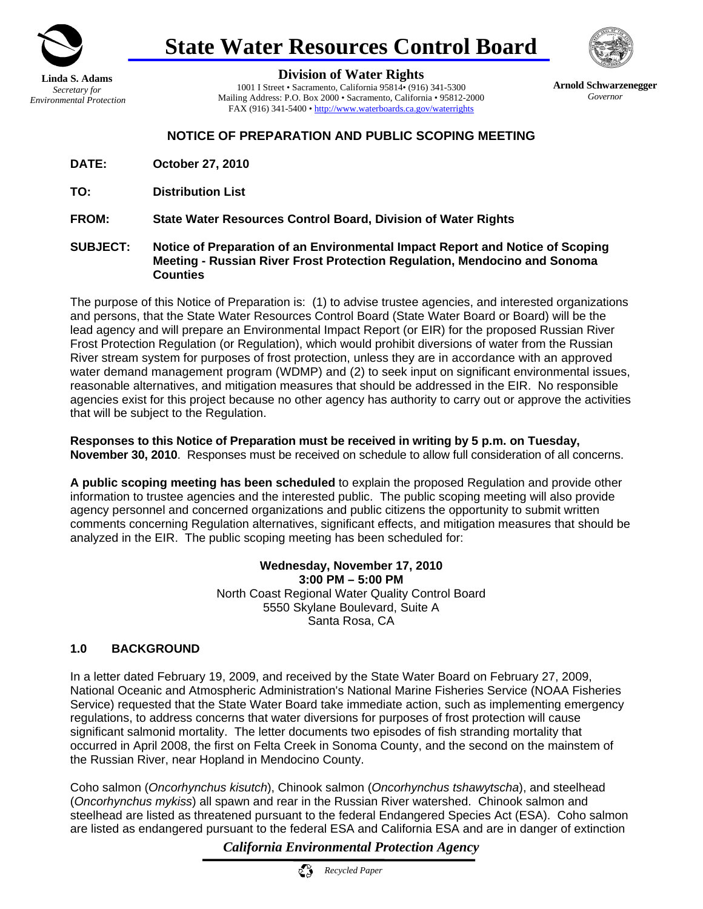

# **State Water Resources Control Board**



**Division of Water Rights**

1001 I Street • Sacramento, California 95814• (916) 341-5300 Mailing Address: P.O. Box 2000 • Sacramento, California • 95812-2000 FAX (916) 341-5400 • http://www.waterboards.ca.gov/waterrights

**Arnold Schwarzenegger**  *Governor* 

# **NOTICE OF PREPARATION AND PUBLIC SCOPING MEETING**

- **DATE: October 27, 2010**
- **TO: Distribution List**

**FROM: State Water Resources Control Board, Division of Water Rights** 

**SUBJECT: Notice of Preparation of an Environmental Impact Report and Notice of Scoping Meeting - Russian River Frost Protection Regulation, Mendocino and Sonoma Counties**

The purpose of this Notice of Preparation is: (1) to advise trustee agencies, and interested organizations and persons, that the State Water Resources Control Board (State Water Board or Board) will be the lead agency and will prepare an Environmental Impact Report (or EIR) for the proposed Russian River Frost Protection Regulation (or Regulation), which would prohibit diversions of water from the Russian River stream system for purposes of frost protection, unless they are in accordance with an approved water demand management program (WDMP) and (2) to seek input on significant environmental issues, reasonable alternatives, and mitigation measures that should be addressed in the EIR. No responsible agencies exist for this project because no other agency has authority to carry out or approve the activities that will be subject to the Regulation.

**Responses to this Notice of Preparation must be received in writing by 5 p.m. on Tuesday, November 30, 2010**. Responses must be received on schedule to allow full consideration of all concerns.

**A public scoping meeting has been scheduled** to explain the proposed Regulation and provide other information to trustee agencies and the interested public. The public scoping meeting will also provide agency personnel and concerned organizations and public citizens the opportunity to submit written comments concerning Regulation alternatives, significant effects, and mitigation measures that should be analyzed in the EIR. The public scoping meeting has been scheduled for:

> **Wednesday, November 17, 2010 3:00 PM – 5:00 PM** North Coast Regional Water Quality Control Board 5550 Skylane Boulevard, Suite A Santa Rosa, CA

# **1.0 BACKGROUND**

In a letter dated February 19, 2009, and received by the State Water Board on February 27, 2009, National Oceanic and Atmospheric Administration's National Marine Fisheries Service (NOAA Fisheries Service) requested that the State Water Board take immediate action, such as implementing emergency regulations, to address concerns that water diversions for purposes of frost protection will cause significant salmonid mortality. The letter documents two episodes of fish stranding mortality that occurred in April 2008, the first on Felta Creek in Sonoma County, and the second on the mainstem of the Russian River, near Hopland in Mendocino County.

Coho salmon (*Oncorhynchus kisutch*), Chinook salmon (*Oncorhynchus tshawytscha*), and steelhead (*Oncorhynchus mykiss*) all spawn and rear in the Russian River watershed. Chinook salmon and steelhead are listed as threatened pursuant to the federal Endangered Species Act (ESA). Coho salmon are listed as endangered pursuant to the federal ESA and California ESA and are in danger of extinction

*California Environmental Protection Agency* 

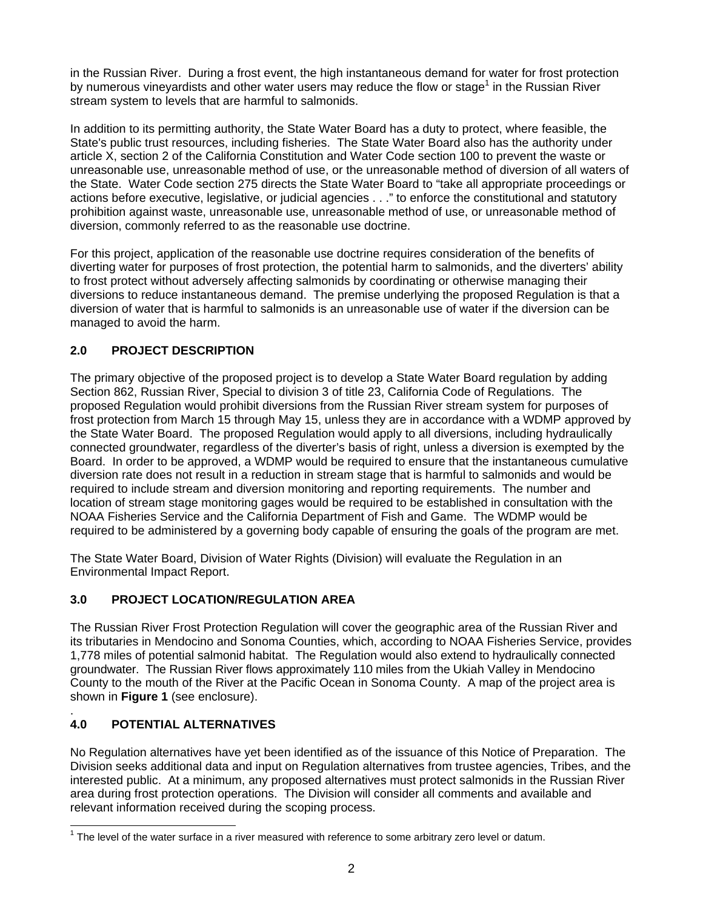in the Russian River. During a frost event, the high instantaneous demand for water for frost protection by numerous vineyardists and other water users may reduce the flow or stage<sup>1</sup> in the Russian River stream system to levels that are harmful to salmonids.

In addition to its permitting authority, the State Water Board has a duty to protect, where feasible, the State's public trust resources, including fisheries. The State Water Board also has the authority under article X, section 2 of the California Constitution and Water Code section 100 to prevent the waste or unreasonable use, unreasonable method of use, or the unreasonable method of diversion of all waters of the State. Water Code section 275 directs the State Water Board to "take all appropriate proceedings or actions before executive, legislative, or judicial agencies . . ." to enforce the constitutional and statutory prohibition against waste, unreasonable use, unreasonable method of use, or unreasonable method of diversion, commonly referred to as the reasonable use doctrine.

For this project, application of the reasonable use doctrine requires consideration of the benefits of diverting water for purposes of frost protection, the potential harm to salmonids, and the diverters' ability to frost protect without adversely affecting salmonids by coordinating or otherwise managing their diversions to reduce instantaneous demand. The premise underlying the proposed Regulation is that a diversion of water that is harmful to salmonids is an unreasonable use of water if the diversion can be managed to avoid the harm.

# **2.0 PROJECT DESCRIPTION**

The primary objective of the proposed project is to develop a State Water Board regulation by adding Section 862, Russian River, Special to division 3 of title 23, California Code of Regulations. The proposed Regulation would prohibit diversions from the Russian River stream system for purposes of frost protection from March 15 through May 15, unless they are in accordance with a WDMP approved by the State Water Board. The proposed Regulation would apply to all diversions, including hydraulically connected groundwater, regardless of the diverter's basis of right, unless a diversion is exempted by the Board. In order to be approved, a WDMP would be required to ensure that the instantaneous cumulative diversion rate does not result in a reduction in stream stage that is harmful to salmonids and would be required to include stream and diversion monitoring and reporting requirements. The number and location of stream stage monitoring gages would be required to be established in consultation with the NOAA Fisheries Service and the California Department of Fish and Game. The WDMP would be required to be administered by a governing body capable of ensuring the goals of the program are met.

The State Water Board, Division of Water Rights (Division) will evaluate the Regulation in an Environmental Impact Report.

# **3.0 PROJECT LOCATION/REGULATION AREA**

The Russian River Frost Protection Regulation will cover the geographic area of the Russian River and its tributaries in Mendocino and Sonoma Counties, which, according to NOAA Fisheries Service, provides 1,778 miles of potential salmonid habitat. The Regulation would also extend to hydraulically connected groundwater. The Russian River flows approximately 110 miles from the Ukiah Valley in Mendocino County to the mouth of the River at the Pacific Ocean in Sonoma County. A map of the project area is shown in **Figure 1** (see enclosure).

#### . **4.0 POTENTIAL ALTERNATIVES**

No Regulation alternatives have yet been identified as of the issuance of this Notice of Preparation. The Division seeks additional data and input on Regulation alternatives from trustee agencies, Tribes, and the interested public. At a minimum, any proposed alternatives must protect salmonids in the Russian River area during frost protection operations. The Division will consider all comments and available and relevant information received during the scoping process.

 $\mathbf{r}$  $1$  The level of the water surface in a river measured with reference to some arbitrary zero level or datum.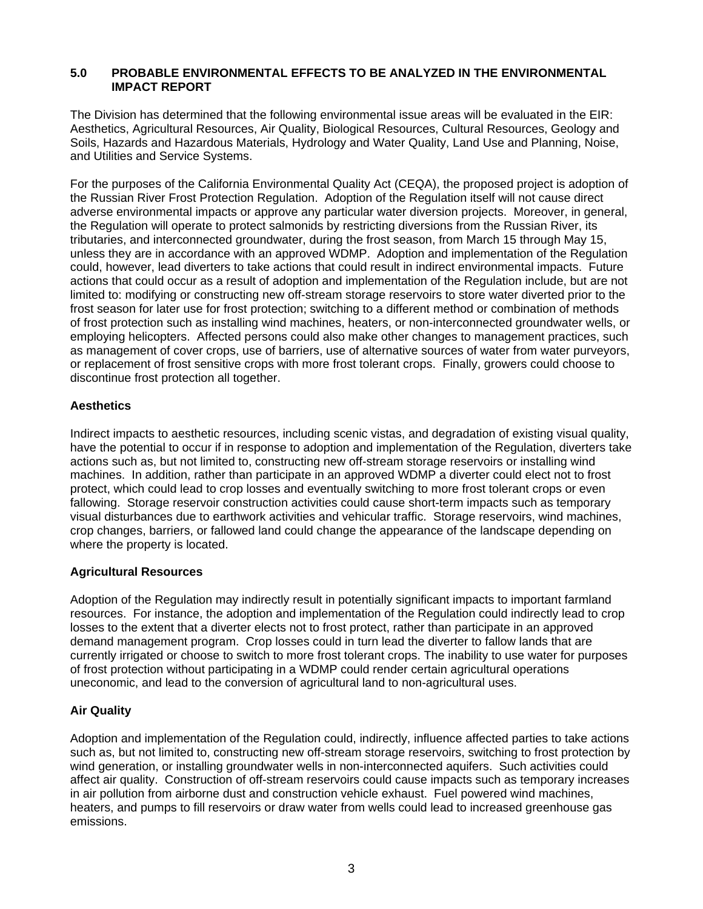## **5.0 PROBABLE ENVIRONMENTAL EFFECTS TO BE ANALYZED IN THE ENVIRONMENTAL IMPACT REPORT**

The Division has determined that the following environmental issue areas will be evaluated in the EIR: Aesthetics, Agricultural Resources, Air Quality, Biological Resources, Cultural Resources, Geology and Soils, Hazards and Hazardous Materials, Hydrology and Water Quality, Land Use and Planning, Noise, and Utilities and Service Systems.

For the purposes of the California Environmental Quality Act (CEQA), the proposed project is adoption of the Russian River Frost Protection Regulation. Adoption of the Regulation itself will not cause direct adverse environmental impacts or approve any particular water diversion projects. Moreover, in general, the Regulation will operate to protect salmonids by restricting diversions from the Russian River, its tributaries, and interconnected groundwater, during the frost season, from March 15 through May 15, unless they are in accordance with an approved WDMP. Adoption and implementation of the Regulation could, however, lead diverters to take actions that could result in indirect environmental impacts. Future actions that could occur as a result of adoption and implementation of the Regulation include, but are not limited to: modifying or constructing new off-stream storage reservoirs to store water diverted prior to the frost season for later use for frost protection; switching to a different method or combination of methods of frost protection such as installing wind machines, heaters, or non-interconnected groundwater wells, or employing helicopters. Affected persons could also make other changes to management practices, such as management of cover crops, use of barriers, use of alternative sources of water from water purveyors, or replacement of frost sensitive crops with more frost tolerant crops. Finally, growers could choose to discontinue frost protection all together.

# **Aesthetics**

Indirect impacts to aesthetic resources, including scenic vistas, and degradation of existing visual quality, have the potential to occur if in response to adoption and implementation of the Regulation, diverters take actions such as, but not limited to, constructing new off-stream storage reservoirs or installing wind machines. In addition, rather than participate in an approved WDMP a diverter could elect not to frost protect, which could lead to crop losses and eventually switching to more frost tolerant crops or even fallowing. Storage reservoir construction activities could cause short-term impacts such as temporary visual disturbances due to earthwork activities and vehicular traffic. Storage reservoirs, wind machines, crop changes, barriers, or fallowed land could change the appearance of the landscape depending on where the property is located.

## **Agricultural Resources**

Adoption of the Regulation may indirectly result in potentially significant impacts to important farmland resources. For instance, the adoption and implementation of the Regulation could indirectly lead to crop losses to the extent that a diverter elects not to frost protect, rather than participate in an approved demand management program. Crop losses could in turn lead the diverter to fallow lands that are currently irrigated or choose to switch to more frost tolerant crops. The inability to use water for purposes of frost protection without participating in a WDMP could render certain agricultural operations uneconomic, and lead to the conversion of agricultural land to non-agricultural uses.

## **Air Quality**

Adoption and implementation of the Regulation could, indirectly, influence affected parties to take actions such as, but not limited to, constructing new off-stream storage reservoirs, switching to frost protection by wind generation, or installing groundwater wells in non-interconnected aquifers. Such activities could affect air quality. Construction of off-stream reservoirs could cause impacts such as temporary increases in air pollution from airborne dust and construction vehicle exhaust. Fuel powered wind machines, heaters, and pumps to fill reservoirs or draw water from wells could lead to increased greenhouse gas emissions.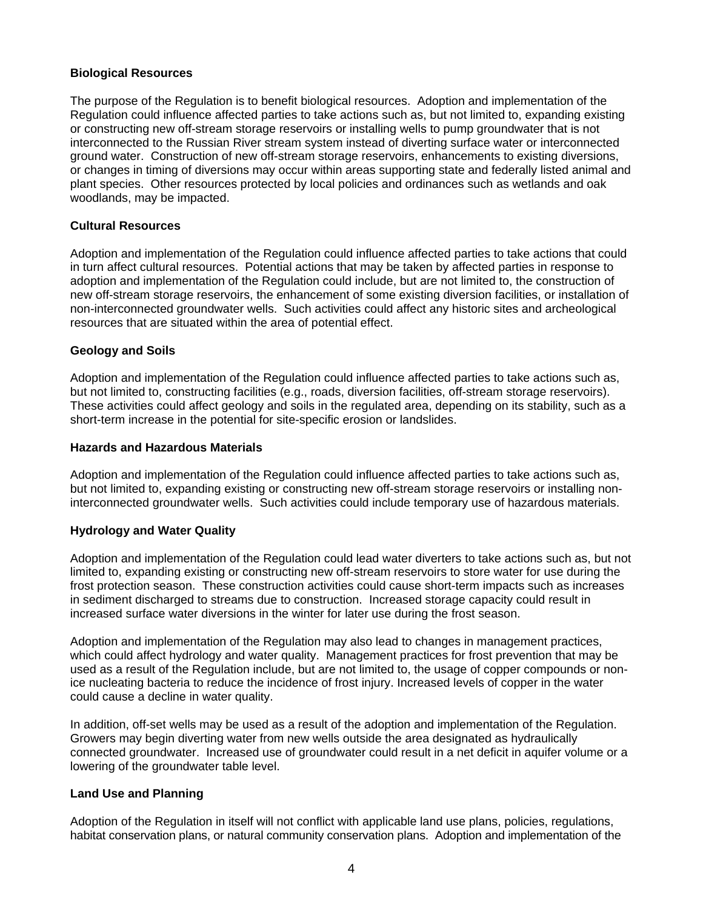## **Biological Resources**

The purpose of the Regulation is to benefit biological resources. Adoption and implementation of the Regulation could influence affected parties to take actions such as, but not limited to, expanding existing or constructing new off-stream storage reservoirs or installing wells to pump groundwater that is not interconnected to the Russian River stream system instead of diverting surface water or interconnected ground water. Construction of new off-stream storage reservoirs, enhancements to existing diversions, or changes in timing of diversions may occur within areas supporting state and federally listed animal and plant species. Other resources protected by local policies and ordinances such as wetlands and oak woodlands, may be impacted.

# **Cultural Resources**

Adoption and implementation of the Regulation could influence affected parties to take actions that could in turn affect cultural resources. Potential actions that may be taken by affected parties in response to adoption and implementation of the Regulation could include, but are not limited to, the construction of new off-stream storage reservoirs, the enhancement of some existing diversion facilities, or installation of non-interconnected groundwater wells. Such activities could affect any historic sites and archeological resources that are situated within the area of potential effect.

## **Geology and Soils**

Adoption and implementation of the Regulation could influence affected parties to take actions such as, but not limited to, constructing facilities (e.g., roads, diversion facilities, off-stream storage reservoirs). These activities could affect geology and soils in the regulated area, depending on its stability, such as a short-term increase in the potential for site-specific erosion or landslides.

## **Hazards and Hazardous Materials**

Adoption and implementation of the Regulation could influence affected parties to take actions such as, but not limited to, expanding existing or constructing new off-stream storage reservoirs or installing noninterconnected groundwater wells. Such activities could include temporary use of hazardous materials.

# **Hydrology and Water Quality**

Adoption and implementation of the Regulation could lead water diverters to take actions such as, but not limited to, expanding existing or constructing new off-stream reservoirs to store water for use during the frost protection season. These construction activities could cause short-term impacts such as increases in sediment discharged to streams due to construction. Increased storage capacity could result in increased surface water diversions in the winter for later use during the frost season.

Adoption and implementation of the Regulation may also lead to changes in management practices, which could affect hydrology and water quality. Management practices for frost prevention that may be used as a result of the Regulation include, but are not limited to, the usage of copper compounds or nonice nucleating bacteria to reduce the incidence of frost injury. Increased levels of copper in the water could cause a decline in water quality.

In addition, off-set wells may be used as a result of the adoption and implementation of the Regulation. Growers may begin diverting water from new wells outside the area designated as hydraulically connected groundwater. Increased use of groundwater could result in a net deficit in aquifer volume or a lowering of the groundwater table level.

## **Land Use and Planning**

Adoption of the Regulation in itself will not conflict with applicable land use plans, policies, regulations, habitat conservation plans, or natural community conservation plans. Adoption and implementation of the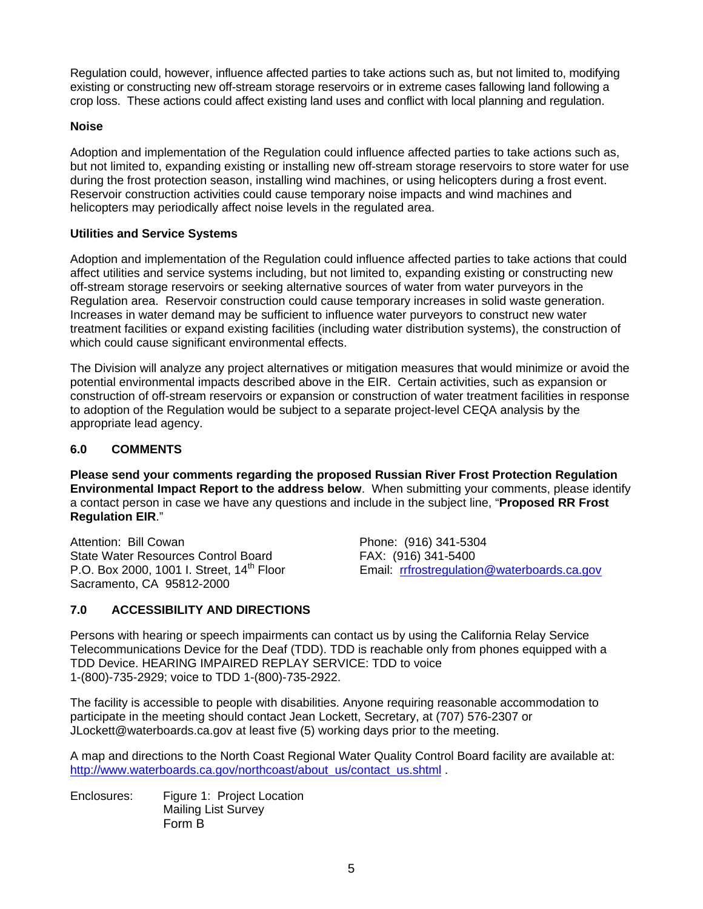Regulation could, however, influence affected parties to take actions such as, but not limited to, modifying existing or constructing new off-stream storage reservoirs or in extreme cases fallowing land following a crop loss. These actions could affect existing land uses and conflict with local planning and regulation.

# **Noise**

Adoption and implementation of the Regulation could influence affected parties to take actions such as, but not limited to, expanding existing or installing new off-stream storage reservoirs to store water for use during the frost protection season, installing wind machines, or using helicopters during a frost event. Reservoir construction activities could cause temporary noise impacts and wind machines and helicopters may periodically affect noise levels in the regulated area.

# **Utilities and Service Systems**

Adoption and implementation of the Regulation could influence affected parties to take actions that could affect utilities and service systems including, but not limited to, expanding existing or constructing new off-stream storage reservoirs or seeking alternative sources of water from water purveyors in the Regulation area. Reservoir construction could cause temporary increases in solid waste generation. Increases in water demand may be sufficient to influence water purveyors to construct new water treatment facilities or expand existing facilities (including water distribution systems), the construction of which could cause significant environmental effects.

The Division will analyze any project alternatives or mitigation measures that would minimize or avoid the potential environmental impacts described above in the EIR. Certain activities, such as expansion or construction of off-stream reservoirs or expansion or construction of water treatment facilities in response to adoption of the Regulation would be subject to a separate project-level CEQA analysis by the appropriate lead agency.

## **6.0 COMMENTS**

**Please send your comments regarding the proposed Russian River Frost Protection Regulation Environmental Impact Report to the address below**. When submitting your comments, please identify a contact person in case we have any questions and include in the subject line, "**Proposed RR Frost Regulation EIR**."

Attention: Bill Cowan Phone: (916) 341-5304 State Water Resources Control Board FAX: (916) 341-5400 Sacramento, CA 95812-2000

P.O. Box 2000, 1001 I. Street, 14<sup>th</sup> Floor Email: rrfrostregulation@waterboards.ca.gov

# **7.0 ACCESSIBILITY AND DIRECTIONS**

Persons with hearing or speech impairments can contact us by using the California Relay Service Telecommunications Device for the Deaf (TDD). TDD is reachable only from phones equipped with a TDD Device. HEARING IMPAIRED REPLAY SERVICE: TDD to voice 1-(800)-735-2929; voice to TDD 1-(800)-735-2922.

The facility is accessible to people with disabilities. Anyone requiring reasonable accommodation to participate in the meeting should contact Jean Lockett, Secretary, at (707) 576-2307 or JLockett@waterboards.ca.gov at least five (5) working days prior to the meeting.

A map and directions to the North Coast Regional Water Quality Control Board facility are available at: http://www.waterboards.ca.gov/northcoast/about\_us/contact\_us.shtml .

Enclosures: Figure 1: Project Location Mailing List Survey Form B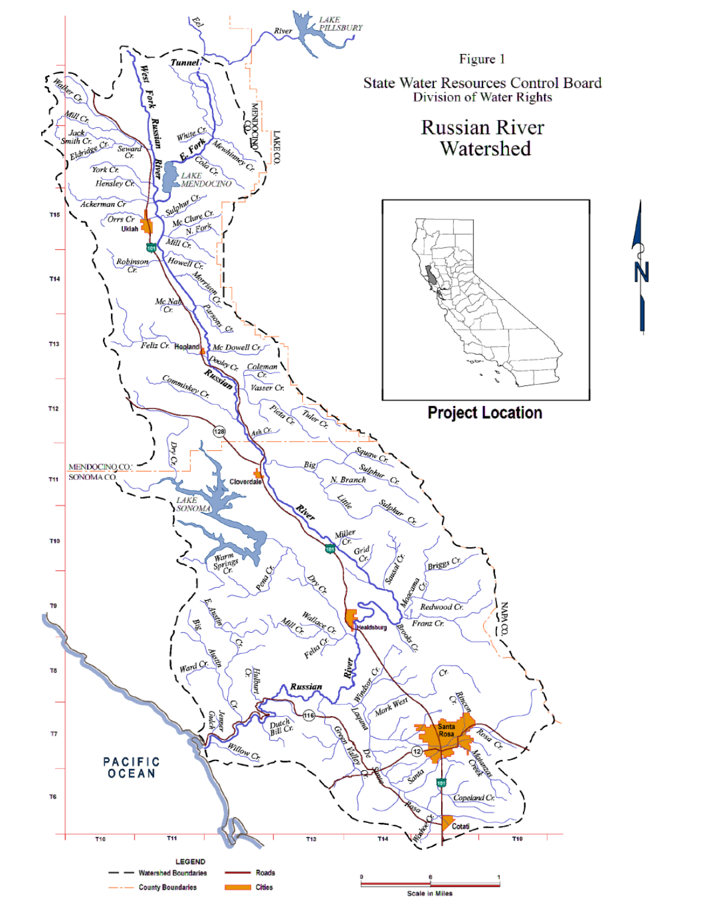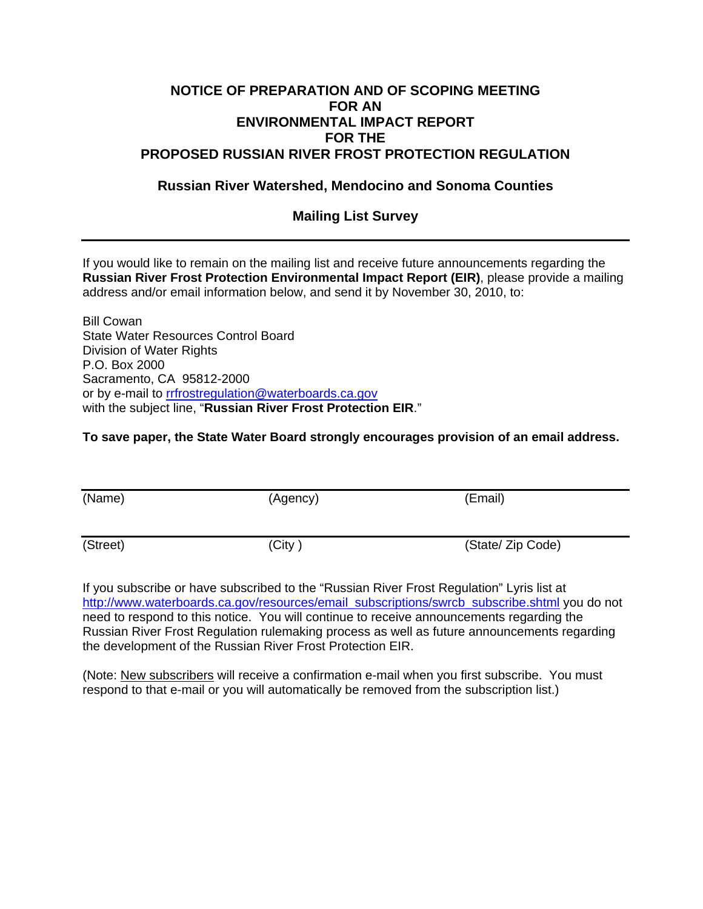# **NOTICE OF PREPARATION AND OF SCOPING MEETING FOR AN ENVIRONMENTAL IMPACT REPORT FOR THE PROPOSED RUSSIAN RIVER FROST PROTECTION REGULATION**

# **Russian River Watershed, Mendocino and Sonoma Counties**

# **Mailing List Survey**

If you would like to remain on the mailing list and receive future announcements regarding the **Russian River Frost Protection Environmental Impact Report (EIR)**, please provide a mailing address and/or email information below, and send it by November 30, 2010, to:

Bill Cowan State Water Resources Control Board Division of Water Rights P.O. Box 2000 Sacramento, CA 95812-2000 or by e-mail to rrfrostregulation@waterboards.ca.gov with the subject line, "**Russian River Frost Protection EIR**."

# **To save paper, the State Water Board strongly encourages provision of an email address.**

| (Name)   | (Agency) | (Email)           |
|----------|----------|-------------------|
| (Street) | (City)   | (State/ Zip Code) |

If you subscribe or have subscribed to the "Russian River Frost Regulation" Lyris list at http://www.waterboards.ca.gov/resources/email\_subscriptions/swrcb\_subscribe.shtml you do not need to respond to this notice. You will continue to receive announcements regarding the Russian River Frost Regulation rulemaking process as well as future announcements regarding the development of the Russian River Frost Protection EIR.

(Note: New subscribers will receive a confirmation e-mail when you first subscribe. You must respond to that e-mail or you will automatically be removed from the subscription list.)